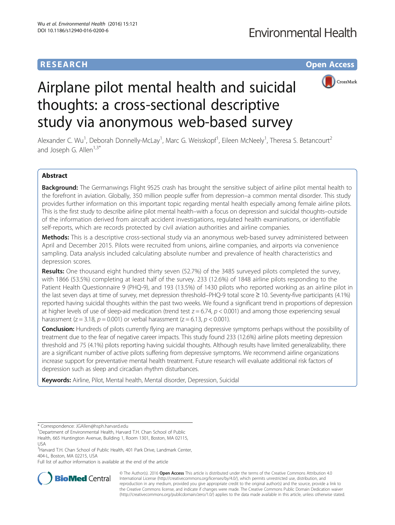## **RESEARCH CHE Open Access**



# Airplane pilot mental health and suicidal thoughts: a cross-sectional descriptive study via anonymous web-based survey

Alexander C. Wu<sup>1</sup>, Deborah Donnelly-McLay<sup>1</sup>, Marc G. Weisskopf<sup>1</sup>, Eileen McNeely<sup>1</sup>, Theresa S. Betancourt<sup>2</sup> and Joseph G. Allen $1,3^*$ 

## Abstract

Background: The Germanwings Flight 9525 crash has brought the sensitive subject of airline pilot mental health to the forefront in aviation. Globally, 350 million people suffer from depression–a common mental disorder. This study provides further information on this important topic regarding mental health especially among female airline pilots. This is the first study to describe airline pilot mental health–with a focus on depression and suicidal thoughts–outside of the information derived from aircraft accident investigations, regulated health examinations, or identifiable self-reports, which are records protected by civil aviation authorities and airline companies.

Methods: This is a descriptive cross-sectional study via an anonymous web-based survey administered between April and December 2015. Pilots were recruited from unions, airline companies, and airports via convenience sampling. Data analysis included calculating absolute number and prevalence of health characteristics and depression scores.

Results: One thousand eight hundred thirty seven (52.7%) of the 3485 surveyed pilots completed the survey, with 1866 (53.5%) completing at least half of the survey. 233 (12.6%) of 1848 airline pilots responding to the Patient Health Questionnaire 9 (PHQ-9), and 193 (13.5%) of 1430 pilots who reported working as an airline pilot in the last seven days at time of survey, met depression threshold–PHQ-9 total score ≥ 10. Seventy-five participants (4.1%) reported having suicidal thoughts within the past two weeks. We found a significant trend in proportions of depression at higher levels of use of sleep-aid medication (trend test  $z = 6.74$ ,  $p < 0.001$ ) and among those experiencing sexual harassment (z = 3.18,  $p = 0.001$ ) or verbal harassment (z = 6.13,  $p < 0.001$ ).

Conclusion: Hundreds of pilots currently flying are managing depressive symptoms perhaps without the possibility of treatment due to the fear of negative career impacts. This study found 233 (12.6%) airline pilots meeting depression threshold and 75 (4.1%) pilots reporting having suicidal thoughts. Although results have limited generalizability, there are a significant number of active pilots suffering from depressive symptoms. We recommend airline organizations increase support for preventative mental health treatment. Future research will evaluate additional risk factors of depression such as sleep and circadian rhythm disturbances.

Keywords: Airline, Pilot, Mental health, Mental disorder, Depression, Suicidal

Full list of author information is available at the end of the article



© The Author(s). 2016 Open Access This article is distributed under the terms of the Creative Commons Attribution 4.0 International License [\(http://creativecommons.org/licenses/by/4.0/](http://creativecommons.org/licenses/by/4.0/)), which permits unrestricted use, distribution, and reproduction in any medium, provided you give appropriate credit to the original author(s) and the source, provide a link to the Creative Commons license, and indicate if changes were made. The Creative Commons Public Domain Dedication waiver [\(http://creativecommons.org/publicdomain/zero/1.0/](http://creativecommons.org/publicdomain/zero/1.0/)) applies to the data made available in this article, unless otherwise stated.

<sup>\*</sup> Correspondence: [JGAllen@hsph.harvard.edu](mailto:JGAllen@hsph.harvard.edu) <sup>1</sup>

<sup>&</sup>lt;sup>1</sup>Department of Environmental Health, Harvard T.H. Chan School of Public

Health, 665 Huntington Avenue, Building 1, Room 1301, Boston, MA 02115, USA

<sup>&</sup>lt;sup>3</sup>Harvard T.H. Chan School of Public Health, 401 Park Drive, Landmark Center, 404-L, Boston, MA 02215, USA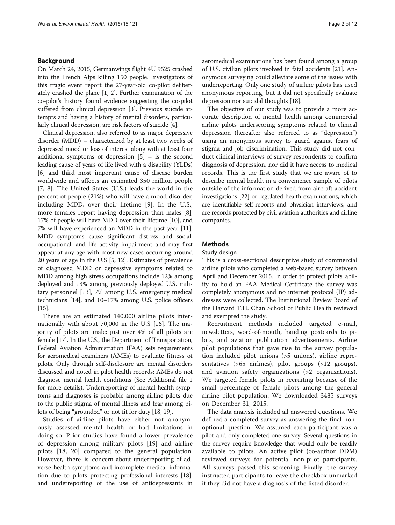## Background

On March 24, 2015, Germanwings flight 4U 9525 crashed into the French Alps killing 150 people. Investigators of this tragic event report the 27-year-old co-pilot deliberately crashed the plane [[1, 2\]](#page-10-0). Further examination of the co-pilot's history found evidence suggesting the co-pilot suffered from clinical depression [[3\]](#page-10-0). Previous suicide attempts and having a history of mental disorders, particularly clinical depression, are risk factors of suicide [\[4](#page-10-0)].

Clinical depression, also referred to as major depressive disorder (MDD) – characterized by at least two weeks of depressed mood or loss of interest along with at least four additional symptoms of depression  $[5]$  $[5]$  – is the second leading cause of years of life lived with a disability (YLDs) [[6\]](#page-10-0) and third most important cause of disease burden worldwide and affects an estimated 350 million people [[7, 8](#page-10-0)]. The United States (U.S.) leads the world in the percent of people (21%) who will have a mood disorder, including MDD, over their lifetime [[9](#page-10-0)]. In the U.S., more females report having depression than males [[8](#page-10-0)], 17% of people will have MDD over their lifetime [\[10\]](#page-10-0), and 7% will have experienced an MDD in the past year [[11](#page-10-0)]. MDD symptoms cause significant distress and social, occupational, and life activity impairment and may first appear at any age with most new cases occurring around 20 years of age in the U.S [[5](#page-10-0), [12](#page-10-0)]. Estimates of prevalence of diagnosed MDD or depressive symptoms related to MDD among high stress occupations include 12% among deployed and 13% among previously deployed U.S. military personnel [[13](#page-10-0)], 7% among U.S. emergency medical technicians [[14](#page-10-0)], and 10–17% among U.S. police officers [[15](#page-10-0)].

There are an estimated 140,000 airline pilots internationally with about 70,000 in the U.S [\[16](#page-10-0)]. The majority of pilots are male: just over 4% of all pilots are female [\[17\]](#page-10-0). In the U.S., the Department of Transportation, Federal Aviation Administration (FAA) sets requirements for aeromedical examiners (AMEs) to evaluate fitness of pilots. Only through self-disclosure are mental disorders discussed and noted in pilot health records; AMEs do not diagnose mental health conditions (See Additional file [1](#page-9-0) for more details). Underreporting of mental health symptoms and diagnoses is probable among airline pilots due to the public stigma of mental illness and fear among pilots of being "grounded" or not fit for duty [\[18, 19](#page-10-0)].

Studies of airline pilots have either not anonymously assessed mental health or had limitations in doing so. Prior studies have found a lower prevalence of depression among military pilots [[19](#page-10-0)] and airline pilots [[18, 20](#page-10-0)] compared to the general population. However, there is concern about underreporting of adverse health symptoms and incomplete medical information due to pilots protecting professional interests [[18](#page-10-0)], and underreporting of the use of antidepressants in aeromedical examinations has been found among a group of U.S. civilian pilots involved in fatal accidents [[21](#page-10-0)]. Anonymous surveying could alleviate some of the issues with underreporting. Only one study of airline pilots has used anonymous reporting, but it did not specifically evaluate depression nor suicidal thoughts [\[18\]](#page-10-0).

The objective of our study was to provide a more accurate description of mental health among commercial airline pilots underscoring symptoms related to clinical depression (hereafter also referred to as "depression") using an anonymous survey to guard against fears of stigma and job discrimination. This study did not conduct clinical interviews of survey respondents to confirm diagnosis of depression, nor did it have access to medical records. This is the first study that we are aware of to describe mental health in a convenience sample of pilots outside of the information derived from aircraft accident investigations [[22](#page-10-0)] or regulated health examinations, which are identifiable self-reports and physician interviews, and are records protected by civil aviation authorities and airline companies.

## Methods

## Study design

This is a cross-sectional descriptive study of commercial airline pilots who completed a web-based survey between April and December 2015. In order to protect pilots' ability to hold an FAA Medical Certificate the survey was completely anonymous and no internet protocol (IP) addresses were collected. The Institutional Review Board of the Harvard T.H. Chan School of Public Health reviewed and exempted the study.

Recruitment methods included targeted e-mail, newsletters, word-of-mouth, handing postcards to pilots, and aviation publication advertisements. Airline pilot populations that gave rise to the survey population included pilot unions (>5 unions), airline representatives (>65 airlines), pilot groups (>12 groups), and aviation safety organizations (>2 organizations). We targeted female pilots in recruiting because of the small percentage of female pilots among the general airline pilot population. We downloaded 3485 surveys on December 31, 2015.

The data analysis included all answered questions. We defined a completed survey as answering the final nonoptional question. We assumed each participant was a pilot and only completed one survey. Several questions in the survey require knowledge that would only be readily available to pilots. An active pilot (co-author DDM) reviewed surveys for potential non-pilot participants. All surveys passed this screening. Finally, the survey instructed participants to leave the checkbox unmarked if they did not have a diagnosis of the listed disorder.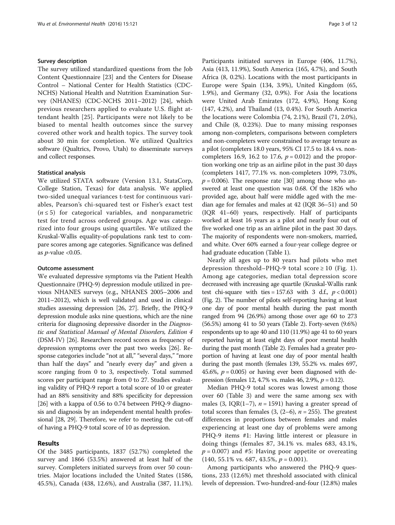#### Survey description

The survey utilized standardized questions from the Job Content Questionnaire [\[23\]](#page-10-0) and the Centers for Disease Control – National Center for Health Statistics (CDC-NCHS) National Health and Nutrition Examination Survey (NHANES) (CDC-NCHS 2011–2012) [\[24](#page-10-0)], which previous researchers applied to evaluate U.S. flight attendant health [\[25\]](#page-11-0). Participants were not likely to be biased to mental health outcomes since the survey covered other work and health topics. The survey took about 30 min for completion. We utilized Qualtrics software (Qualtrics, Provo, Utah) to disseminate surveys and collect responses.

#### Statistical analysis

We utilized STATA software (Version 13.1, StataCorp, College Station, Texas) for data analysis. We applied two-sided unequal variances t-test for continuous variables, Pearson's chi-squared test or Fisher's exact test  $(n \leq 5)$  for categorical variables, and nonparametric test for trend across ordered groups. Age was categorized into four groups using quartiles. We utilized the Kruskal-Wallis equality-of-populations rank test to compare scores among age categories. Significance was defined as  $p$ -value <0.05.

## Outcome assessment

We evaluated depressive symptoms via the Patient Health Questionnaire (PHQ-9) depression module utilized in previous NHANES surveys (e.g., NHANES 2005–2006 and 2011–2012), which is well validated and used in clinical studies assessing depression [\[26, 27\]](#page-11-0). Briefly, the PHQ-9 depression module asks nine questions, which are the nine criteria for diagnosing depressive disorder in the Diagnostic and Statistical Manual of Mental Disorders, Edition 4 (DSM-IV) [[26](#page-11-0)]. Researchers record scores as frequency of depression symptoms over the past two weeks [[26](#page-11-0)]. Response categories include "not at all," "several days," "more than half the days" and "nearly every day" and given a score ranging from 0 to 3, respectively. Total summed scores per participant range from 0 to 27. Studies evaluating validity of PHQ-9 report a total score of 10 or greater had an 88% sensitivity and 88% specificity for depression [[26](#page-11-0)] with a kappa of 0.56 to 0.74 between PHQ-9 diagnosis and diagnosis by an independent mental health professional [\[28](#page-11-0), [29](#page-11-0)]. Therefore, we refer to meeting the cut-off of having a PHQ-9 total score of 10 as depression.

### Results

Of the 3485 participants, 1837 (52.7%) completed the survey and 1866 (53.5%) answered at least half of the survey. Completers initiated surveys from over 50 countries. Major locations included the United States (1586, 45.5%), Canada (438, 12.6%), and Australia (387, 11.1%). Participants initiated surveys in Europe (406, 11.7%), Asia (413, 11.9%), South America (165, 4.7%), and South Africa (8, 0.2%). Locations with the most participants in Europe were Spain (134, 3.9%), United Kingdom (65, 1.9%), and Germany (32, 0.9%). For Asia the locations were United Arab Emirates (172, 4.9%), Hong Kong (147, 4.2%), and Thailand (13, 0.4%). For South America the locations were Colombia (74, 2.1%), Brazil (71, 2.0%), and Chile (8, 0.23%). Due to many missing responses among non-completers, comparisons between completers and non-completers were constrained to average tenure as a pilot (completers 18.0 years, 95% CI 17.5 to 18.4 vs. noncompleters 16.9, 16.2 to 17.6,  $p = 0.012$ ) and the proportion working one trip as an airline pilot in the past 30 days (completers 1417, 77.1% vs. non-completers 1099, 73.0%,  $p = 0.006$ ). The response rate [\[30\]](#page-11-0) among those who answered at least one question was 0.68. Of the 1826 who provided age, about half were middle aged with the median age for females and males at 42 (IQR 36–51) and 50 (IQR 41–60) years, respectively. Half of participants worked at least 16 years as a pilot and nearly four out of five worked one trip as an airline pilot in the past 30 days. The majority of respondents were non-smokers, married, and white. Over 60% earned a four-year college degree or had graduate education (Table [1](#page-3-0)).

Nearly all ages up to 80 years had pilots who met depression threshold–PHQ-9 total score  $\geq 10$  $\geq 10$  $\geq 10$  (Fig. 1). Among age categories, median total depression score decreased with increasing age quartile (Kruskal-Wallis rank test chi-square with ties = 157.63 with 3 d.f.,  $p < 0.001$ ) (Fig. [2](#page-4-0)). The number of pilots self-reporting having at least one day of poor mental health during the past month ranged from 94 (26.9%) among those over age 60 to 273 (56.5%) among 41 to 50 years (Table [2\)](#page-5-0). Forty-seven (9.6%) respondents up to age 40 and 110 (11.9%) age 41 to 60 years reported having at least eight days of poor mental health during the past month (Table [2\)](#page-5-0). Females had a greater proportion of having at least one day of poor mental health during the past month (females 139, 55.2% vs. males 697, 45.6%,  $p = 0.005$ ) or having ever been diagnosed with depression (females 12, 4.7% vs. males 46, 2.9%,  $p = 0.12$ ).

Median PHQ-9 total scores was lowest among those over 60 (Table [3](#page-6-0)) and were the same among sex with males (3, IQR(1–7),  $n = 1591$ ) having a greater spread of total scores than females  $(3, (2-6), n = 255)$ . The greatest differences in proportions between females and males experiencing at least one day of problems were among PHQ-9 items #1: Having little interest or pleasure in doing things (females 87, 34.1% vs. males 683, 43.1%,  $p = 0.007$ ) and #5: Having poor appetite or overeating  $(140, 55.1\% \text{ vs. } 687, 43.5\%, p = 0.001).$ 

Among participants who answered the PHQ-9 questions, 233 (12.6%) met threshold associated with clinical levels of depression. Two-hundred-and-four (12.8%) males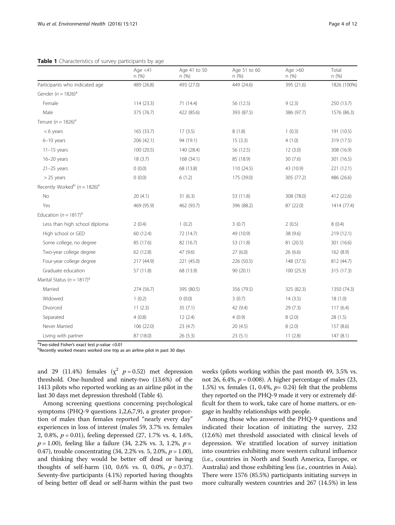#### <span id="page-3-0"></span>Table 1 Characteristics of survey participants by age

|                                                          | Age $<$ 41<br>n(%) | Age 41 to 50<br>n(%) | Age 51 to 60<br>n(%) | Age $>60$<br>n(%) | Total<br>n(%) |
|----------------------------------------------------------|--------------------|----------------------|----------------------|-------------------|---------------|
| Participants who indicated age                           | 489 (26.8)         | 493 (27.0)           | 449 (24.6)           | 395 (21.6)        | 1826 (100%)   |
| Gender ( $n = 1826$ ) <sup>a</sup>                       |                    |                      |                      |                   |               |
| Female                                                   | 114(23.3)          | 71 (14.4)            | 56 (12.5)            | 9(2.3)            | 250 (13.7)    |
| Male                                                     | 375 (76.7)         | 422 (85.6)           | 393 (87.5)           | 386 (97.7)        | 1576 (86.3)   |
| Tenure ( $n = 1826$ ) <sup>a</sup>                       |                    |                      |                      |                   |               |
| $< 6$ years                                              | 165 (33.7)         | 17(3.5)              | 8(1.8)               | 1(0.3)            | 191 (10.5)    |
| $6-10$ years                                             | 206 (42.1)         | 94 (19.1)            | 15(3.3)              | 4(1.0)            | 319 (17.5)    |
| $11-15$ years                                            | 100 (20.5)         | 140 (28.4)           | 56 (12.5)            | 12(3.0)           | 308 (16.9)    |
| $16 - 20$ years                                          | 18(3.7)            | 168 (34.1)           | 85 (18.9)            | 30(7.6)           | 301 (16.5)    |
| $21 - 25$ years                                          | (0.0)              | 68 (13.8)            | 110(24.5)            | 43 (10.9)         | 221 (12.1)    |
| $>$ 25 years                                             | 0(0.0)             | 6(1.2)               | 175 (39.0)           | 305 (77.2)        | 486 (26.6)    |
| Recently Worked <sup>b</sup> ( $n = 1826$ ) <sup>a</sup> |                    |                      |                      |                   |               |
| No                                                       | 20(4.1)            | 31(6.3)              | 53 (11.8)            | 308 (78.0)        | 412 (22.6)    |
| Yes                                                      | 469 (95.9)         | 462 (93.7)           | 396 (88.2)           | 87 (22.0)         | 1414 (77.4)   |
| Education ( $n = 1817$ ) <sup>a</sup>                    |                    |                      |                      |                   |               |
| Less than high school diploma                            | 2(0.4)             | 1(0.2)               | 3(0.7)               | 2(0.5)            | 8(0.4)        |
| High school or GED                                       | 60 (12.4)          | 72 (14.7)            | 49 (10.9)            | 38 (9.6)          | 219 (12.1)    |
| Some college, no degree                                  | 85 (17.6)          | 82 (16.7)            | 53 (11.8)            | 81 (20.5)         | 301 (16.6)    |
| Two-year college degree                                  | 62 (12.8)          | 47 (9.6)             | 27(6.0)              | 26(6.6)           | 162 (8.9)     |
| Four-year college degree                                 | 217 (44.9)         | 221 (45.0)           | 226 (50.5)           | 148 (37.5)        | 812 (44.7)    |
| Graduate education                                       | 57 (11.8)          | 68 (13.9)            | 90(20.1)             | 100 (25.3)        | 315 (17.3)    |
| Marital Status ( $n = 1817$ ) <sup>a</sup>               |                    |                      |                      |                   |               |
| Married                                                  | 274 (56.7)         | 395 (80.5)           | 356 (79.5)           | 325 (82.3)        | 1350 (74.3)   |
| Widowed                                                  | 1(0.2)             | 0(0.0)               | 3(0.7)               | 14(3.5)           | 18(1.0)       |
| Divorced                                                 | 11(2.3)            | 35(7.1)              | 42 (9.4)             | 29(7.3)           | 117(6.4)      |
| Separated                                                | 4(0.8)             | 12(2.4)              | 4(0.9)               | 8(2.0)            | 28(1.5)       |
| Never Married                                            | 106 (22.0)         | 23 (4.7)             | 20(4.5)              | 8(2.0)            | 157 (8.6)     |
| Living with partner                                      | 87 (18.0)          | 26(5.3)              | 23(5.1)              | 11(2.8)           | 147(8.1)      |

a<br>Two-sided Fisher's exact test p-value <0.01<br>procently worked means worked one trin a

**PRecently worked means worked one trip as an airline pilot in past 30 days** 

and 29 (11.4%) females ( $\chi^2$  *p* = 0.52) met depression threshold. One-hundred and ninety-two (13.6%) of the 1413 pilots who reported working as an airline pilot in the last 30 days met depression threshold (Table [4](#page-7-0)).

Among screening questions concerning psychological symptoms (PHQ-9 questions 1,2,6,7,9), a greater proportion of males than females reported "nearly every day" experiences in loss of interest (males 59, 3.7% vs. females 2, 0.8%, p = 0.01), feeling depressed (27, 1.7% vs. 4, 1.6%,  $p = 1.00$ ), feeling like a failure (34, 2.2% vs. 3, 1.2%,  $p =$ 0.47), trouble concentrating  $(34, 2.2\% \text{ vs. } 5, 2.0\%, p = 1.00)$ , and thinking they would be better off dead or having thoughts of self-harm (10, 0.6% vs. 0, 0.0%,  $p = 0.37$ ). Seventy-five participants (4.1%) reported having thoughts of being better off dead or self-harm within the past two weeks (pilots working within the past month 49, 3.5% vs. not 26, 6.4%,  $p = 0.008$ ). A higher percentage of males (23, 1.5%) vs. females  $(1, 0.4\%, p= 0.24)$  felt that the problems they reported on the PHQ-9 made it very or extremely difficult for them to work, take care of home matters, or engage in healthy relationships with people.

Among those who answered the PHQ-9 questions and indicated their location of initiating the survey, 232 (12.6%) met threshold associated with clinical levels of depression. We stratified location of survey initiation into countries exhibiting more western cultural influence (i.e., countries in North and South America, Europe, or Australia) and those exhibiting less (i.e., countries in Asia). There were 1576 (85.5%) participants initiating surveys in more culturally western countries and 267 (14.5%) in less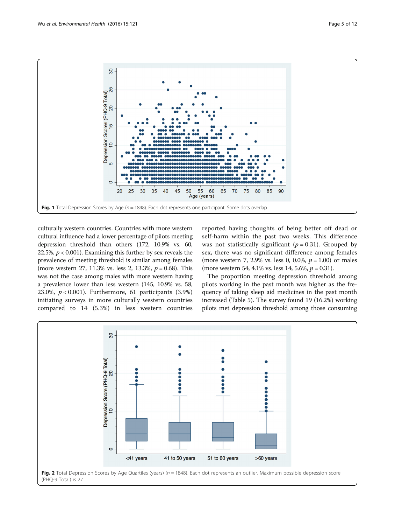<span id="page-4-0"></span>

culturally western countries. Countries with more western cultural influence had a lower percentage of pilots meeting depression threshold than others (172, 10.9% vs. 60, 22.5%,  $p < 0.001$ ). Examining this further by sex reveals the prevalence of meeting threshold is similar among females (more western 27, 11.3% vs. less 2, 13.3%,  $p = 0.68$ ). This was not the case among males with more western having a prevalence lower than less western (145, 10.9% vs. 58, 23.0%,  $p < 0.001$ ). Furthermore, 61 participants (3.9%) initiating surveys in more culturally western countries compared to 14 (5.3%) in less western countries

reported having thoughts of being better off dead or self-harm within the past two weeks. This difference was not statistically significant ( $p = 0.31$ ). Grouped by sex, there was no significant difference among females (more western 7, 2.9% vs. less 0, 0.0%,  $p = 1.00$ ) or males (more western 54, 4.1% vs. less 14, 5.6%,  $p = 0.31$ ).

The proportion meeting depression threshold among pilots working in the past month was higher as the frequency of taking sleep aid medicines in the past month increased (Table [5\)](#page-8-0). The survey found 19 (16.2%) working pilots met depression threshold among those consuming

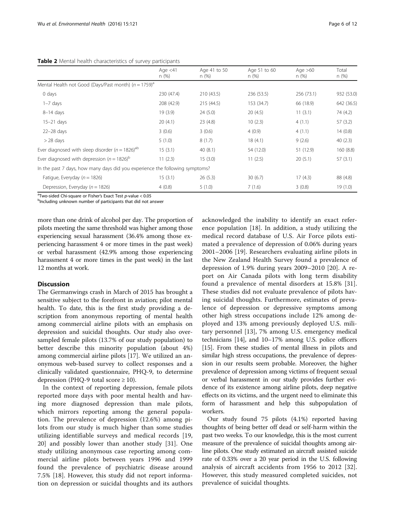#### <span id="page-5-0"></span>Table 2 Mental health characteristics of survey participants

|                                                                              | Age $<$ 41 | Age 41 to 50 | Age 51 to 60 | Age $>60$  | Total      |  |
|------------------------------------------------------------------------------|------------|--------------|--------------|------------|------------|--|
|                                                                              | n(%)       | n(%)         | n(%)         | n(%)       | n (%)      |  |
| Mental Health not Good (Days/Past month) $(n = 1759)^a$                      |            |              |              |            |            |  |
| 0 days                                                                       | 230 (47.4) | 210(43.5)    | 236 (53.5)   | 256 (73.1) | 932 (53.0) |  |
| $1 - 7$ days                                                                 | 208 (42.9) | 215(44.5)    | 153 (34.7)   | 66 (18.9)  | 642 (36.5) |  |
| $8-14$ days                                                                  | 19(3.9)    | 24(5.0)      | 20(4.5)      | 11(3.1)    | 74 (4.2)   |  |
| $15-21$ days                                                                 | 20(4.1)    | 23(4.8)      | 10(2.3)      | 4(1.1)     | 57(3.2)    |  |
| $22 - 28$ days                                                               | 3(0.6)     | 3(0.6)       | 4(0.9)       | 4(1.1)     | 14(0.8)    |  |
| $> 28$ days                                                                  | 5(1.0)     | 8(1.7)       | 18(4.1)      | 9(2.6)     | 40(2.3)    |  |
| Ever diagnosed with sleep disorder ( $n = 1826$ ) <sup>ab</sup>              | 15(3.1)    | 40(8.1)      | 54 (12.0)    | 51 (12.9)  | 160 (8.8)  |  |
| Ever diagnosed with depression ( $n = 1826$ ) <sup>b</sup>                   | 11(2.3)    | 15(3.0)      | 11(2.5)      | 20(5.1)    | 57(3.1)    |  |
| In the past 7 days, how many days did you experience the following symptoms? |            |              |              |            |            |  |
| Fatigue, Everyday ( $n = 1826$ )                                             | 15(3.1)    | 26(5.3)      | 30(6.7)      | 17(4.3)    | 88 (4.8)   |  |
| Depression, Everyday ( $n = 1826$ )                                          | 4(0.8)     | 5(1.0)       | 7(1.6)       | 3(0.8)     | 19(1.0)    |  |

 $a^2$ Two-sided Chi-square or Fisher's Exact Test p-value < 0.05<br>bincluding unknown number of participants that did not a

<sup>b</sup>Including unknown number of participants that did not answer

more than one drink of alcohol per day. The proportion of pilots meeting the same threshold was higher among those experiencing sexual harassment (36.4% among those experiencing harassment 4 or more times in the past week) or verbal harassment (42.9% among those experiencing harassment 4 or more times in the past week) in the last 12 months at work.

## Discussion

The Germanwings crash in March of 2015 has brought a sensitive subject to the forefront in aviation; pilot mental health. To date, this is the first study providing a description from anonymous reporting of mental health among commercial airline pilots with an emphasis on depression and suicidal thoughts. Our study also oversampled female pilots (13.7% of our study population) to better describe this minority population (about 4%) among commercial airline pilots [[17\]](#page-10-0). We utilized an anonymous web-based survey to collect responses and a clinically validated questionnaire, PHQ-9, to determine depression (PHQ-9 total score  $\geq$  10).

In the context of reporting depression, female pilots reported more days with poor mental health and having more diagnosed depression than male pilots, which mirrors reporting among the general population. The prevalence of depression (12.6%) among pilots from our study is much higher than some studies utilizing identifiable surveys and medical records [\[19](#page-10-0), [20\]](#page-10-0) and possibly lower than another study [\[31](#page-11-0)]. One study utilizing anonymous case reporting among commercial airline pilots between years 1996 and 1999 found the prevalence of psychiatric disease around 7.5% [[18\]](#page-10-0). However, this study did not report information on depression or suicidal thoughts and its authors acknowledged the inability to identify an exact reference population [[18\]](#page-10-0). In addition, a study utilizing the medical record database of U.S. Air Force pilots estimated a prevalence of depression of 0.06% during years 2001–2006 [\[19](#page-10-0)]. Researchers evaluating airline pilots in the New Zealand Health Survey found a prevalence of depression of 1.9% during years 2009–2010 [[20\]](#page-10-0). A report on Air Canada pilots with long term disability found a prevalence of mental disorders at 15.8% [\[31](#page-11-0)]. These studies did not evaluate prevalence of pilots having suicidal thoughts. Furthermore, estimates of prevalence of depression or depressive symptoms among other high stress occupations include 12% among deployed and 13% among previously deployed U.S. military personnel [[13](#page-10-0)], 7% among U.S. emergency medical technicians [[14](#page-10-0)], and 10–17% among U.S. police officers [[15](#page-10-0)]. From these studies of mental illness in pilots and similar high stress occupations, the prevalence of depression in our results seem probable. Moreover, the higher prevalence of depression among victims of frequent sexual or verbal harassment in our study provides further evidence of its existence among airline pilots, deep negative effects on its victims, and the urgent need to eliminate this form of harassment and help this subpopulation of workers.

Our study found 75 pilots (4.1%) reported having thoughts of being better off dead or self-harm within the past two weeks. To our knowledge, this is the most current measure of the prevalence of suicidal thoughts among airline pilots. One study estimated an aircraft assisted suicide rate of 0.33% over a 20 year period in the U.S. following analysis of aircraft accidents from 1956 to 2012 [\[32](#page-11-0)]. However, this study measured completed suicides, not prevalence of suicidal thoughts.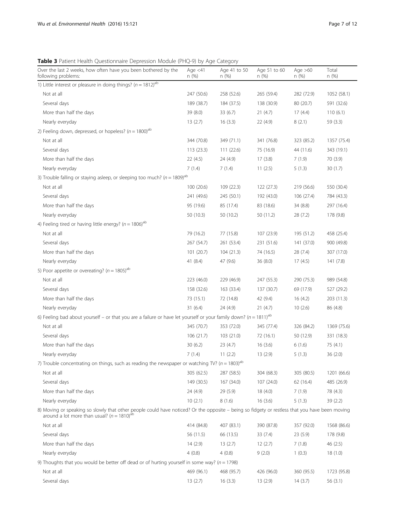<span id="page-6-0"></span>Table 3 Patient Health Questionnaire Depression Module (PHQ-9) by Age Category

| Over the last 2 weeks, how often have you been bothered by the<br>following problems:                                                                                                             | Age $<$ 41<br>n(%) | Age 41 to 50<br>n(%) | Age 51 to 60<br>n(%) | Age $>60$<br>n (%) | Total<br>n(%) |
|---------------------------------------------------------------------------------------------------------------------------------------------------------------------------------------------------|--------------------|----------------------|----------------------|--------------------|---------------|
| 1) Little interest or pleasure in doing things? $(n = 1812)^{ab}$                                                                                                                                 |                    |                      |                      |                    |               |
| Not at all                                                                                                                                                                                        | 247 (50.6)         | 258 (52.6)           | 265 (59.4)           | 282 (72.9)         | 1052 (58.1)   |
| Several days                                                                                                                                                                                      | 189 (38.7)         | 184 (37.5)           | 138 (30.9)           | 80 (20.7)          | 591 (32.6)    |
| More than half the days                                                                                                                                                                           | 39(8.0)            | 33(6.7)              | 21(4.7)              | 17(4.4)            | 110(6.1)      |
| Nearly everyday                                                                                                                                                                                   | 13(2.7)            | 16(3.3)              | 22 (4.9)             | 8(2.1)             | 59 (3.3)      |
| 2) Feeling down, depressed, or hopeless? ( $n = 1800$ ) <sup>ab</sup>                                                                                                                             |                    |                      |                      |                    |               |
| Not at all                                                                                                                                                                                        | 344 (70.8)         | 349 (71.1)           | 341 (76.8)           | 323 (85.2)         | 1357 (75.4)   |
| Several days                                                                                                                                                                                      | 113(23.3)          | 111(22.6)            | 75 (16.9)            | 44 (11.6)          | 343 (19.1)    |
| More than half the days                                                                                                                                                                           | 22(4.5)            | 24 (4.9)             | 17(3.8)              | 7(1.9)             | 70 (3.9)      |
| Nearly everyday                                                                                                                                                                                   | 7(1.4)             | 7(1.4)               | 11(2.5)              | 5(1.3)             | 30 (1.7)      |
| 3) Trouble falling or staying asleep, or sleeping too much? ( $n = 1809$ ) <sup>ab</sup>                                                                                                          |                    |                      |                      |                    |               |
| Not at all                                                                                                                                                                                        | 100(20.6)          | 109 (22.3)           | 122(27.3)            | 219 (56.6)         | 550 (30.4)    |
| Several days                                                                                                                                                                                      | 241 (49.6)         | 245 (50.1)           | 192 (43.0)           | 106 (27.4)         | 784 (43.3)    |
| More than half the days                                                                                                                                                                           | 95 (19.6)          | 85 (17.4)            | 83 (18.6)            | 34 (8.8)           | 297 (16.4)    |
| Nearly everyday                                                                                                                                                                                   | 50 (10.3)          | 50 (10.2)            | 50 (11.2)            | 28 (7.2)           | 178 (9.8)     |
| 4) Feeling tired or having little energy? ( $n = 1806$ ) <sup>ab</sup>                                                                                                                            |                    |                      |                      |                    |               |
| Not at all                                                                                                                                                                                        | 79 (16.2)          | 77 (15.8)            | 107 (23.9)           | 195 (51.2)         | 458 (25.4)    |
| Several days                                                                                                                                                                                      | 267 (54.7)         | 261 (53.4)           | 231 (51.6)           | 141 (37.0)         | 900 (49.8)    |
| More than half the days                                                                                                                                                                           | 101(20.7)          | 104(21.3)            | 74 (16.5)            | 28 (7.4)           | 307 (17.0)    |
| Nearly everyday                                                                                                                                                                                   | 41(8.4)            | 47 (9.6)             | 36(8.0)              | 17(4.5)            | 141(7.8)      |
| 5) Poor appetite or overeating? ( $n = 1805$ ) <sup>ab</sup>                                                                                                                                      |                    |                      |                      |                    |               |
| Not at all                                                                                                                                                                                        | 223 (46.0)         | 229 (46.9)           | 247 (55.3)           | 290 (75.3)         | 989 (54.8)    |
| Several days                                                                                                                                                                                      | 158 (32.6)         | 163 (33.4)           | 137 (30.7)           | 69 (17.9)          | 527 (29.2)    |
| More than half the days                                                                                                                                                                           | 73 (15.1)          | 72 (14.8)            | 42 (9.4)             | 16(4.2)            | 203 (11.3)    |
| Nearly everyday                                                                                                                                                                                   | 31(6.4)            | 24 (4.9)             | 21(4.7)              | 10(2.6)            | 86 (4.8)      |
| 6) Feeling bad about yourself – or that you are a failure or have let yourself or your family down? ( $n = 1811$ ) <sup>ab</sup>                                                                  |                    |                      |                      |                    |               |
| Not at all                                                                                                                                                                                        | 345 (70.7)         | 353 (72.0)           | 345 (77.4)           | 326 (84.2)         | 1369 (75.6)   |
| Several days                                                                                                                                                                                      | 106(21.7)          | 103(21.0)            | 72 (16.1)            | 50 (12.9)          | 331 (18.3)    |
| More than half the days                                                                                                                                                                           | 30(6.2)            | 23(4.7)              | 16(3.6)              | 6(1.6)             | 75 (4.1)      |
| Nearly everyday                                                                                                                                                                                   | 7(1.4)             | 11(2.2)              | 13(2.9)              | 5(1.3)             | 36 (2.0)      |
| 7) Trouble concentrating on things, such as reading the newspaper or watching TV? ( $n = 1803$ ) <sup>ab</sup>                                                                                    |                    |                      |                      |                    |               |
| Not at all                                                                                                                                                                                        | 305 (62.5)         | 287 (58.5)           | 304 (68.3)           | 305 (80.5)         | 1201 (66.6)   |
| Several days                                                                                                                                                                                      | 149 (30.5)         | 167 (34.0)           | 107 (24.0)           | 62 (16.4)          | 485 (26.9)    |
| More than half the days                                                                                                                                                                           | 24 (4.9)           | 29(5.9)              | 18(4.0)              | 7(1.9)             | 78 (4.3)      |
| Nearly everyday                                                                                                                                                                                   | 10(2.1)            | 8(1.6)               | 16(3.6)              | 5(1.3)             | 39 (2.2)      |
| 8) Moving or speaking so slowly that other people could have noticed? Or the opposite - being so fidgety or restless that you have been moving<br>around a lot more than usual? $(n = 1810)^{ab}$ |                    |                      |                      |                    |               |
| Not at all                                                                                                                                                                                        | 414 (84.8)         | 407 (83.1)           | 390 (87.8)           | 357 (92.0)         | 1568 (86.6)   |
| Several days                                                                                                                                                                                      | 56 (11.5)          | 66 (13.5)            | 33 (7.4)             | 23(5.9)            | 178 (9.8)     |
| More than half the days                                                                                                                                                                           | 14(2.9)            | 13(2.7)              | 12(2.7)              | 7(1.8)             | 46(2.5)       |
| Nearly everyday                                                                                                                                                                                   | 4(0.8)             | 4(0.8)               | 9(2.0)               | 1(0.3)             | 18(1.0)       |
| 9) Thoughts that you would be better off dead or of hurting yourself in some way? ( $n = 1798$ )                                                                                                  |                    |                      |                      |                    |               |
| Not at all                                                                                                                                                                                        | 469 (96.1)         | 468 (95.7)           | 426 (96.0)           | 360 (95.5)         | 1723 (95.8)   |
| Several days                                                                                                                                                                                      | 13(2.7)            | 16(3.3)              | 13(2.9)              | 14(3.7)            | 56 (3.1)      |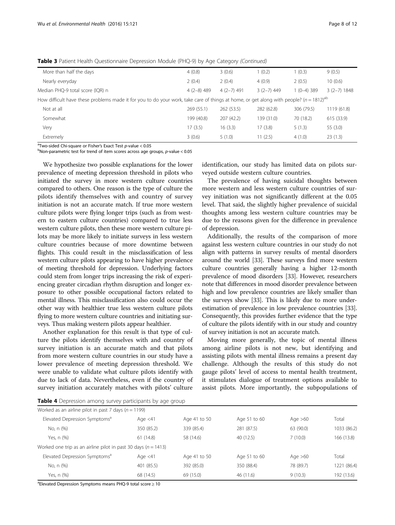| More than half the days                                                                                                                                | 4(0.8)      | 3(0.6)       | 1(0.2)      | 1(0.3)      | 9(0.5)       |  |  |
|--------------------------------------------------------------------------------------------------------------------------------------------------------|-------------|--------------|-------------|-------------|--------------|--|--|
| Nearly everyday                                                                                                                                        | 2(0.4)      | 2(0.4)       | 4(0.9)      | 2(0.5)      | 10(0.6)      |  |  |
| Median PHQ-9 total score (IQR) n                                                                                                                       | $4(2-8)489$ | $4(2-7)$ 491 | $3(2-7)449$ | $1(0-4)389$ | $3(2-7)1848$ |  |  |
| How difficult have these problems made it for you to do your work, take care of things at home, or get along with people? ( $n = 1812$ ) <sup>ab</sup> |             |              |             |             |              |  |  |
| Not at all                                                                                                                                             | 269 (55.1)  | 262(53.5)    | 282 (62.8)  | 306 (79.5)  | 1119 (61.8)  |  |  |
| Somewhat                                                                                                                                               | 199 (40.8)  | 207 (42.2)   | 139 (31.0)  | 70 (18.2)   | 615(33.9)    |  |  |
| Very                                                                                                                                                   | 17(3.5)     | 16(3.3)      | 17(3.8)     | 5(1.3)      | 55 (3.0)     |  |  |
| Extremely                                                                                                                                              | 3(0.6)      | 5(1.0)       | 11(2.5)     | 4(1.0)      | 23(1.3)      |  |  |
|                                                                                                                                                        |             |              |             |             |              |  |  |

<span id="page-7-0"></span>Table 3 Patient Health Questionnaire Depression Module (PHQ-9) by Age Category (Continued)

 $a^2$ Two-sided Chi-square or Fisher's Exact Test *p*-value < 0.05<br>bNon-parametric test for trend of item scores across age of

 $b$ Non-parametric test for trend of item scores across age groups, p-value < 0.05

We hypothesize two possible explanations for the lower prevalence of meeting depression threshold in pilots who initiated the survey in more western culture countries compared to others. One reason is the type of culture the pilots identify themselves with and country of survey initiation is not an accurate match. If true more western culture pilots were flying longer trips (such as from western to eastern culture countries) compared to true less western culture pilots, then these more western culture pilots may be more likely to initiate surveys in less western culture countries because of more downtime between flights. This could result in the misclassification of less western culture pilots appearing to have higher prevalence of meeting threshold for depression. Underlying factors could stem from longer trips increasing the risk of experiencing greater circadian rhythm disruption and longer exposure to other possible occupational factors related to mental illness. This misclassification also could occur the other way with healthier true less western culture pilots flying to more western culture countries and initiating surveys. Thus making western pilots appear healthier.

Another explanation for this result is that type of culture the pilots identify themselves with and country of survey initiation is an accurate match and that pilots from more western culture countries in our study have a lower prevalence of meeting depression threshold. We were unable to validate what culture pilots identify with due to lack of data. Nevertheless, even if the country of survey initiation accurately matches with pilots' culture

identification, our study has limited data on pilots surveyed outside western culture countries.

The prevalence of having suicidal thoughts between more western and less western culture countries of survey initiation was not significantly different at the 0.05 level. That said, the slightly higher prevalence of suicidal thoughts among less western culture countries may be due to the reasons given for the difference in prevalence of depression.

Additionally, the results of the comparison of more against less western culture countries in our study do not align with patterns in survey results of mental disorders around the world [\[33](#page-11-0)]. These surveys find more western culture countries generally having a higher 12-month prevalence of mood disorders [[33](#page-11-0)]. However, researchers note that differences in mood disorder prevalence between high and low prevalence countries are likely smaller than the surveys show [\[33\]](#page-11-0). This is likely due to more underestimation of prevalence in low prevalence countries [[33](#page-11-0)]. Consequently, this provides further evidence that the type of culture the pilots identify with in our study and country of survey initiation is not an accurate match.

Moving more generally, the topic of mental illness among airline pilots is not new, but identifying and assisting pilots with mental illness remains a present day challenge. Although the results of this study do not gauge pilots' level of access to mental health treatment, it stimulates dialogue of treatment options available to assist pilots. More importantly, the subpopulations of

Table 4 Depression among survey participants by age group

| Worked as an airline pilot in past 7 days ( $n = 1199$ )           |            |              |              |           |             |
|--------------------------------------------------------------------|------------|--------------|--------------|-----------|-------------|
| Elevated Depression Symptoms <sup>a</sup>                          | Age $<$ 41 | Age 41 to 50 | Age 51 to 60 | Age $>60$ | Total       |
| No, n (%)                                                          | 350 (85.2) | 339 (85.4)   | 281 (87.5)   | 63 (90.0) | 1033 (86.2) |
| Yes, n (%)                                                         | 61 (14.8)  | 58 (14.6)    | 40 (12.5)    | 7(10.0)   | 166 (13.8)  |
| Worked one trip as an airline pilot in past 30 days ( $n = 1413$ ) |            |              |              |           |             |
| Elevated Depression Symptoms <sup>a</sup>                          | Age $<$ 41 | Age 41 to 50 | Age 51 to 60 | Age $>60$ | Total       |
| No, n (%)                                                          | 401 (85.5) | 392 (85.0)   | 350 (88.4)   | 78 (89.7) | 1221 (86.4) |
| Yes, n (%)                                                         | 68 (14.5)  | 69 (15.0)    | 46 (11.6)    | 9(10.3)   | 192 (13.6)  |

<sup>a</sup>Elevated Depression Symptoms means PHQ-9 total score ≥ 10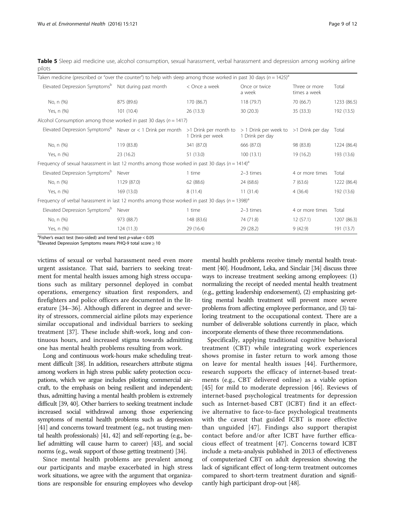<span id="page-8-0"></span>Table 5 Sleep aid medicine use, alcohol consumption, sexual harassment, verbal harassment and depression among working airline pilots

| Taken medicine (prescribed or "over the counter") to help with sleep among those worked in past 30 days ( $n = 1425$ ) <sup>a</sup> |             |                |                         |                               |             |  |  |  |
|-------------------------------------------------------------------------------------------------------------------------------------|-------------|----------------|-------------------------|-------------------------------|-------------|--|--|--|
| Elevated Depression Symptoms <sup>b</sup> Not during past month                                                                     |             | < Once a week  | Once or twice<br>a week | Three or more<br>times a week | Total       |  |  |  |
| No, n (%)                                                                                                                           | 875 (89.6)  | 170 (86.7)     | 118 (79.7)              | 70 (66.7)                     | 1233 (86.5) |  |  |  |
| Yes, n (%)                                                                                                                          | 101 (10.4)  | 26(13.3)       | 30(20.3)                | 35(33.3)                      | 192 (13.5)  |  |  |  |
| Alcohol Consumption among those worked in past 30 days ( $n = 1417$ )                                                               |             |                |                         |                               |             |  |  |  |
| Elevated Depression Symptoms <sup>b</sup> Never or < 1 Drink per month >1 Drink per month to > 1 Drink per week to                  |             | Drink per week | 1 Drink per day         | >1 Drink per day              | Total       |  |  |  |
| No, n (%)                                                                                                                           | 119 (83.8)  | 341 (87.0)     | 666 (87.0)              | 98 (83.8)                     | 1224 (86.4) |  |  |  |
| Yes, n (%)                                                                                                                          | 23(16.2)    | 51(13.0)       | 100(13.1)               | 19 (16.2)                     | 193 (13.6)  |  |  |  |
| Frequency of sexual harassment in last 12 months among those worked in past 30 days ( $n = 1414$ ) <sup>a</sup>                     |             |                |                         |                               |             |  |  |  |
| Elevated Depression Symptoms <sup>b</sup> Never                                                                                     |             | 1 time         | $2-3$ times             | 4 or more times               | Total       |  |  |  |
| No, n (%)                                                                                                                           | 1129 (87.0) | 62 (88.6)      | 24 (68.6)               | 7(63.6)                       | 1222 (86.4) |  |  |  |
| Yes, n (%)                                                                                                                          | 169 (13.0)  | 8(11.4)        | 11(31.4)                | 4(36.4)                       | 192 (13.6)  |  |  |  |
| Frequency of verbal harassment in last 12 months among those worked in past 30 days ( $n = 1398$ ) <sup>a</sup>                     |             |                |                         |                               |             |  |  |  |
| Elevated Depression Symptoms <sup>b</sup> Never                                                                                     |             | 1 time         | 2-3 times               | 4 or more times               | Total       |  |  |  |
| No, n (%)                                                                                                                           | 973 (88.7)  | 148 (83.6)     | 74 (71.8)               | 12(57.1)                      | 1207 (86.3) |  |  |  |
| Yes, n (%)                                                                                                                          | 124(11.3)   | 29 (16.4)      | 29(28.2)                | 9(42.9)                       | 191 (13.7)  |  |  |  |

<sup>a</sup> Fisher's exact test (two-sided) and trend test p-value < 0.05<br><sup>b</sup> Flougted Depression Sumptoms means RHQ 8 total scare.

Elevated Depression Symptoms means PHQ-9 total score ≥ 10

victims of sexual or verbal harassment need even more urgent assistance. That said, barriers to seeking treatment for mental health issues among high stress occupations such as military personnel deployed in combat operations, emergency situation first responders, and firefighters and police officers are documented in the literature [\[34](#page-11-0)–[36\]](#page-11-0). Although different in degree and severity of stressors, commercial airline pilots may experience similar occupational and individual barriers to seeking treatment [[37](#page-11-0)]. These include shift-work, long and continuous hours, and increased stigma towards admitting one has mental health problems resulting from work.

Long and continuous work-hours make scheduling treatment difficult [\[38](#page-11-0)]. In addition, researchers attribute stigma among workers in high stress public safety protection occupations, which we argue includes piloting commercial aircraft, to the emphasis on being resilient and independent; thus, admitting having a mental health problem is extremely difficult [[39, 40\]](#page-11-0). Other barriers to seeking treatment include increased social withdrawal among those experiencing symptoms of mental health problems such as depression [[41\]](#page-11-0) and concerns toward treatment (e.g., not trusting mental health professionals) [\[41](#page-11-0), [42\]](#page-11-0) and self-reporting (e.g., belief admitting will cause harm to career) [\[43](#page-11-0)], and social norms (e.g., weak support of those getting treatment) [\[34\]](#page-11-0).

Since mental health problems are prevalent among our participants and maybe exacerbated in high stress work situations, we agree with the argument that organizations are responsible for ensuring employees who develop

mental health problems receive timely mental health treatment [\[40](#page-11-0)]. Houdmont, Leka, and Sinclair [[34](#page-11-0)] discuss three ways to increase treatment seeking among employees: (1) normalizing the receipt of needed mental health treatment (e.g., getting leadership endorsement), (2) emphasizing getting mental health treatment will prevent more severe problems from affecting employee performance, and (3) tailoring treatment to the occupational context. There are a number of deliverable solutions currently in place, which incorporate elements of these three recommendations.

Specifically, applying traditional cognitive behavioral treatment (CBT) while integrating work experiences shows promise in faster return to work among those on leave for mental health issues [\[44](#page-11-0)]. Furthermore, research supports the efficacy of internet-based treatments (e.g., CBT delivered online) as a viable option [[45\]](#page-11-0) for mild to moderate depression [\[46](#page-11-0)]. Reviews of internet-based psychological treatments for depression such as Internet-based CBT (ICBT) find it an effective alternative to face-to-face psychological treatments with the caveat that guided ICBT is more effective than unguided [[47\]](#page-11-0). Findings also support therapist contact before and/or after ICBT have further efficacious effect of treatment [[47](#page-11-0)]. Concerns toward ICBT include a meta-analysis published in 2013 of effectiveness of computerized CBT on adult depression showing the lack of significant effect of long-term treatment outcomes compared to short-term treatment duration and significantly high participant drop-out [\[48\]](#page-11-0).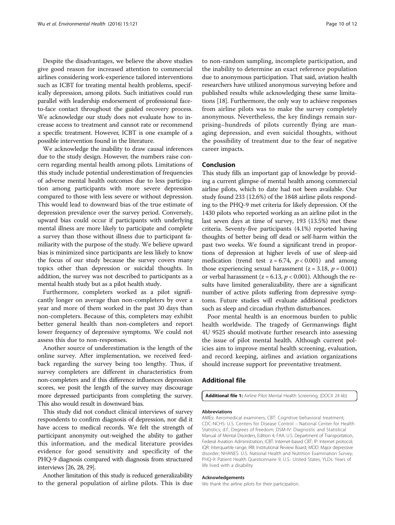<span id="page-9-0"></span>Despite the disadvantages, we believe the above studies give good reason for increased attention to commercial airlines considering work-experience tailored interventions such as ICBT for treating mental health problems, specifically depression, among pilots. Such initiatives could run parallel with leadership endorsement of professional faceto-face contact throughout the guided recovery process. We acknowledge our study does not evaluate how to increase access to treatment and cannot rate or recommend a specific treatment. However, ICBT is one example of a possible intervention found in the literature.

We acknowledge the inability to draw causal inferences due to the study design. However, the numbers raise concern regarding mental health among pilots. Limitations of this study include potential underestimation of frequencies of adverse mental health outcomes due to less participation among participants with more severe depression compared to those with less severe or without depression. This would lead to downward bias of the true estimate of depression prevalence over the survey period. Conversely, upward bias could occur if participants with underlying mental illness are more likely to participate and complete a survey than those without illness due to participant familiarity with the purpose of the study. We believe upward bias is minimized since participants are less likely to know the focus of our study because the survey covers many topics other than depression or suicidal thoughts. In addition, the survey was not described to participants as a mental health study but as a pilot health study.

Furthermore, completers worked as a pilot significantly longer on average than non-completers by over a year and more of them worked in the past 30 days than non-completers. Because of this, completers may exhibit better general health than non-completers and report lower frequency of depressive symptoms. We could not assess this due to non-responses.

Another source of underestimation is the length of the online survey. After implementation, we received feedback regarding the survey being too lengthy. Thus, if survey completers are different in characteristics from non-completers and if this difference influences depression scores, we posit the length of the survey may discourage more depressed participants from completing the survey. This also would result in downward bias.

This study did not conduct clinical interviews of survey respondents to confirm diagnosis of depression, nor did it have access to medical records. We felt the strength of participant anonymity out-weighed the ability to gather this information, and the medical literature provides evidence for good sensitivity and specificity of the PHQ-9 diagnosis compared with diagnosis from structured interviews [\[26](#page-11-0), [28, 29\]](#page-11-0).

Another limitation of this study is reduced generalizability to the general population of airline pilots. This is due

to non-random sampling, incomplete participation, and the inability to determine an exact reference population due to anonymous participation. That said, aviation health researchers have utilized anonymous surveying before and published results while acknowledging these same limitations [\[18\]](#page-10-0). Furthermore, the only way to achieve responses from airline pilots was to make the survey completely anonymous. Nevertheless, the key findings remain surprising–hundreds of pilots currently flying are managing depression, and even suicidal thoughts, without the possibility of treatment due to the fear of negative career impacts.

## Conclusion

This study fills an important gap of knowledge by providing a current glimpse of mental health among commercial airline pilots, which to date had not been available. Our study found 233 (12.6%) of the 1848 airline pilots responding to the PHQ-9 met criteria for likely depression. Of the 1430 pilots who reported working as an airline pilot in the last seven days at time of survey, 193 (13.5%) met these criteria. Seventy-five participants (4.1%) reported having thoughts of better being off dead or self-harm within the past two weeks. We found a significant trend in proportions of depression at higher levels of use of sleep-aid medication (trend test  $z = 6.74$ ,  $p < 0.001$ ) and among those experiencing sexual harassment ( $z = 3.18$ ,  $p = 0.001$ ) or verbal harassment ( $z = 6.13$ ,  $p < 0.001$ ). Although the results have limited generalizability, there are a significant number of active pilots suffering from depressive symptoms. Future studies will evaluate additional predictors such as sleep and circadian rhythm disturbances.

Poor mental health is an enormous burden to public health worldwide. The tragedy of Germanwings flight 4U 9525 should motivate further research into assessing the issue of pilot mental health. Although current policies aim to improve mental health screening, evaluation, and record keeping, airlines and aviation organizations should increase support for preventative treatment.

## Additional file

[Additional file 1:](dx.doi.org/10.1186/s12940-016-0200-6) Airline Pilot Mental Health Screening. (DOCX 24 kb)

#### Abbreviations

AMEs: Aeromedical examiners; CBT: Cognitive behavioral treatment; CDC-NCHS: U.S. Centers for Disease Control – National Center for Health Statistics; d.f.: Degrees of freedom; DSM-IV: Diagnostic and Statistical Manual of Mental Disorders, Edition 4; FAA: U.S. Department of Transportation, Federal Aviation Administration; ICBT: Internet-based CBT; IP: Internet protocol; IQR: Interquartile range; IRB: Institutional Review Board; MDD: Major depressive disorder; NHANES: U.S. National Health and Nutrition Examination Survey; PHQ-9: Patient Health Questionnaire 9; U.S.: United States; YLDs: Years of life lived with a disability

#### Acknowledgements

We thank the airline pilots for their participation.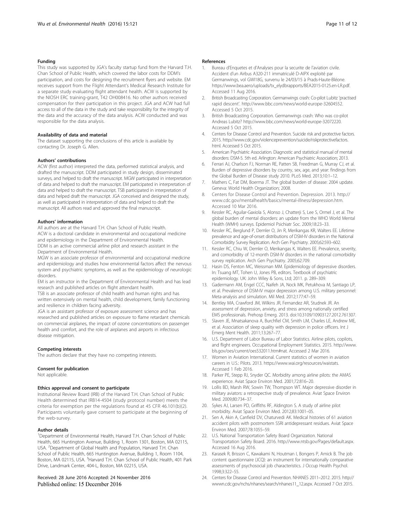#### <span id="page-10-0"></span>Funding

This study was supported by JGA's faculty startup fund from the Harvard T.H. Chan School of Public Health, which covered the labor costs for DDM's participation, and costs for designing the recruitment flyers and website. EM receives support from the Flight Attendant's Medical Research Institute for a separate study evaluating flight attendant health. ACW is supported by the NIOSH ERC training-grant, T42 OH008416. No other authors received compensation for their participation in this project. JGA and ACW had full access to all of the data in the study and take responsibility for the integrity of the data and the accuracy of the data analysis. ACW conducted and was responsible for the data analysis.

#### Availability of data and material

The dataset supporting the conclusions of this article is available by contacting Dr. Joseph G. Allen.

#### Authors' contributions

ACW (first author) interpreted the data, performed statistical analysis, and drafted the manuscript. DDM participated in study design, disseminated surveys, and helped to draft the manuscript. MGW participated in interpretation of data and helped to draft the manuscript. EM participated in interpretation of data and helped to draft the manuscript. TSB participated in interpretation of data and helped draft the manuscript. JGA conceived and designed the study, as well as participated in interpretation of data and helped to draft the manuscript. All authors read and approved the final manuscript.

#### Authors' information

All authors are at the Harvard T.H. Chan School of Public Health. ACW is a doctoral candidate in environmental and occupational medicine and epidemiology in the Department of Environmental Health. DDM is an active commercial airline pilot and research assistant in the Department of Environmental Health.

MGW is an associate professor of environmental and occupational medicine and epidemiology and studies how environmental factors affect the nervous system and psychiatric symptoms, as well as the epidemiology of neurologic disorders.

EM is an instructor in the Department of Environmental Health and has lead research and published articles on flight attendant health.

TSB is an associate professor of child health and human rights and has written extensively on mental health, child development, family functioning and resilience in children facing adversity.

JGA is an assistant professor of exposure assessment science and has researched and published articles on exposure to flame retardant chemicals on commercial airplanes, the impact of ozone concentrations on passenger health and comfort, and the role of airplanes and airports in infectious disease mitigation.

#### Competing interests

The authors declare that they have no competing interests.

#### Consent for publication

Not applicable.

#### Ethics approval and consent to participate

Institutional Review Board (IRB) of the Harvard T.H. Chan School of Public Health determined that IRB14-4504 (study protocol number) meets the criteria for exemption per the regulations found at 45 CFR 46.101(b)(2). Participants voluntarily gave consent to participate at the beginning of the web-survey.

#### Author details

<sup>1</sup>Department of Environmental Health, Harvard T.H. Chan School of Public Health, 665 Huntington Avenue, Building 1, Room 1301, Boston, MA 02115, USA. <sup>2</sup> Department of Global Health and Population, Harvard T.H. Chan School of Public Health, 665 Huntington Avenue, Building 1, Room 1104, Boston, MA 02115, USA. <sup>3</sup>Harvard T.H. Chan School of Public Health, 401 Park Drive, Landmark Center, 404-L, Boston, MA 02215, USA.

#### Received: 28 June 2016 Accepted: 24 November 2016 Published online: 15 December 2016

#### References

- Bureau d'Enquetes et d'Analyses pour la securite de l'aviation civile. Accident d'un Airbus A320-211 immatriculé D-AIPX exploité par Germanwings, vol GWI18G, survenu le 24/03/15 à Prads-Haute-Bléone. [https://www.bea.aero/uploads/tx\\_elydbrapports/BEA2015-0125.en-LR.pdf](https://www.bea.aero/uploads/tx_elydbrapports/BEA2015-0125.en-LR.pdf). Accessed 11 Aug 2016.
- 2. British Broadcasting Corporation. Germanwings crash: Co-pilot Lubitz 'practised rapid descent'.<http://www.bbc.com/news/world-europe-32604552>. Accessed 5 Oct 2015.
- 3. British Broadcasting Corporation. Germanwings crash: Who was co-pilot Andreas Lubitz? [http://www.bbc.com/news/world-europe-32072220.](http://www.bbc.com/news/world-europe-32072220) Accessed 5 Oct 2015.
- 4. Centers for Disease Control and Prevention. Suicide risk and protective factors. 2015. [http://www.cdc.gov/violenceprevention/suicide/riskprotectivefactors.](http://www.cdc.gov/violenceprevention/suicide/riskprotectivefactors.html) [html.](http://www.cdc.gov/violenceprevention/suicide/riskprotectivefactors.html) Accessed 5 Oct 2015.
- 5. American Psychiatric Association. Diagnostic and statistical manual of mental disorders: DSM-5. 5th ed. Arlington: American Psychiatric Association; 2013.
- 6. Ferrari AJ, Charlson FJ, Norman RE, Patten SB, Freedman G, Murray CJ, et al. Burden of depressive disorders by country, sex, age, and year: findings from the Global Burden of Disease study 2010. PLoS Med. 2013;10:1–12.
- 7. Mathers C, Fat DM, Boerma JT. The global burden of disease: 2004 update. Geneva: World Health Organization; 2008.
- 8. Centers for Disease Control and Prevention. Depression. 2013. [http://](http://www.cdc.gov/mentalhealth/basics/mental-illness/depression.htm) [www.cdc.gov/mentalhealth/basics/mental-illness/depression.htm.](http://www.cdc.gov/mentalhealth/basics/mental-illness/depression.htm) Accessed 10 Mar 2016.
- 9. Kessler RC, Aguilar-Gaxiola S, Alonso J, Chatterji S, Lee S, Ormel J, et al. The global burden of mental disorders: an update from the WHO World Mental Health (WMH) surveys. Epidemiol Psichiatr Soc. 2009;18:23–33.
- 10. Kessler RC, Berglund P, Demler O, Jin R, Merikangas KR, Walters EE. Lifetime prevalence and age-of-onset distributions of DSM-IV disorders in the National Comorbidity Survey Replication. Arch Gen Psychiatry. 2005;62:593–602.
- 11. Kessler RC, Chiu W, Demler O, Merikangas K, Walters EE. Prevalence, severity, and comorbidity of 12-month DSM-IV disorders in the national comorbidity survey replication. Arch Gen Psychiatry. 2005;62:709.
- 12. Hasin DS, Fenton MC, Weissman MM. Epidemiology of depressive disorders. In: Tsuang MT, Tohen U, Jones PB, editors. Textbook of psychiatric epidemiology. UK: John Wiley & Sons, Ltd; 2011. p. 289–309.
- 13. Gadermann AM, Engel CCC, Naifeh JA, Nock MK, Petukhova M, Santiago LP, et al. Prevalence of DSM-IV major depression among U.S. military personnel: Meta-analysis and simulation. Mil Med. 2012;177:47–59.
- 14. Bentley MA, Crawford JM, Wilkins JR, Fernandez AR, Studnek JR. An assessment of depression, anxiety, and stress among nationally certified EMS professionals. Prehosp Emerg. 2013. doi:[10.3109/10903127.2012.761307.](http://dx.doi.org/10.3109/10903127.2012.761307)
- 15. Slaven JE, Mnatsakanova A, Burchfiel CM, Smith LM, Charles LE, Andrew ME, et al. Association of sleep quality with depression in police officers. Int J Emerg Ment Health. 2011;13:267–77.
- 16. U.S. Department of Labor Bureau of Labor Statistics. Airline pilots, copilots, and flight engineers. Occupational Employment Statistics. 2015. [http://www.](http://www.bls.gov/oes/current/oes532011.htm#nat) [bls.gov/oes/current/oes532011.htm#nat.](http://www.bls.gov/oes/current/oes532011.htm#nat) Accessed 2 Mar 2016.
- 17. Women in Aviation International. Current statistics of women in aviation careers in U.S.: Pilots. 2013. [https://www.wai.org/resources/waistats.](https://www.wai.org/resources/waistats) Accessed 1 Feb 2016.
- 18. Parker PE, Stepp RJ, Snyder QC. Morbidity among airline pilots: the AMAS experience. Aviat Space Environ Med. 2001;72:816–20.
- 19. Lollis BD, Marsh RW, Sowin TW, Thompson WT. Major depressive disorder in military aviators: a retrospective study of prevalence. Aviat Space Environ Med. 2009;80:734–37.
- 20. Sykes AJ, Larsen PD, Griffiths RF, Aldington S. A study of airline pilot morbidity. Aviat Space Environ Med. 2012;83:1001–05.
- 21. Sen A, Akin A, Canfield DV, Chaturvedi AK. Medical histories of 61 aviation accident pilots with postmortem SSRI antidepressant residues. Aviat Space Environ Med. 2007;78:1055–59.
- 22. U.S. National Transportation Safety Board Organization. National Transportation Safety Board. 2016. [http://www.ntsb.gov/Pages/default.aspx.](http://www.ntsb.gov/Pages/default.aspx) Accessed 16 Aug 2016.
- 23. Karasek R, Brisson C, Kawakami N, Houtman I, Bongers P, Amick B. The job content questionnaire (JCQ): an instrument for internationally comparative assessments of psychosocial job characteristics. J Occup Health Psychol. 1998;3:322–55.
- 24. Centers for Disease Control and Prevention. NHANES 2011–2012. 2015. [http://](http://wwwn.cdc.gov/nchs/nhanes/search/nhanes11_12.aspx) [wwwn.cdc.gov/nchs/nhanes/search/nhanes11\\_12.aspx.](http://wwwn.cdc.gov/nchs/nhanes/search/nhanes11_12.aspx) Accessed 7 Oct 2015.